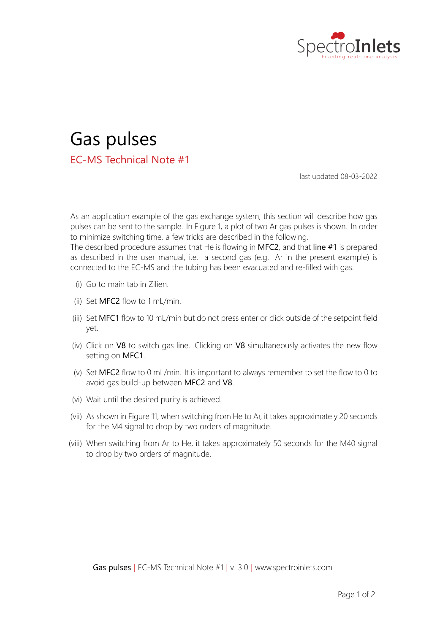



last updated 08‐03‐2022

As an application example of the gas exchange system, this section will describe how gas pulses can be sent to the sample. In Figure 1, a plot of two Ar gas pulses is shown. In order to minimize switching time, a few tricks are described in the following. The described procedure assumes that He is flowing in MFC2, and that line #1 is prepared as described in the user manual, i.e. a second gas (e.g. Ar in the present example) is connected to the EC‐MS and the tubing has been evacuated and re‐filled with gas.

- (i) Go to main tab in Zilien.
- (ii) Set  $MFC2$  flow to 1 mL/min.
- (iii) Set MFC1 flow to 10 mL/min but do not press enter or click outside of the setpoint field yet.
- (iv) Click on V8 to switch gas line. Clicking on V8 simultaneously activates the new flow setting on MFC1.
- (v) Set MFC2 flow to 0 mL/min. It is important to always remember to set the flow to 0 to avoid gas build‐up between MFC2 and V8.
- (vi) Wait until the desired purity is achieved.
- (vii) As shown in Figure 11, when switching from He to Ar, it takes approximately 20 seconds for the M4 signal to drop by two orders of magnitude.
- (viii) When switching from Ar to He, it takes approximately 50 seconds for the M40 signal to drop by two orders of magnitude.